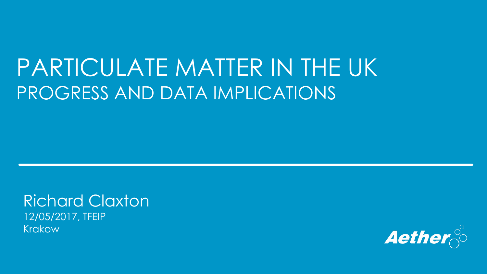### PARTICULATE MATTER IN THE UK PROGRESS AND DATA IMPLICATIONS

Richard Claxton 12/05/2017, TFEIP Krakow

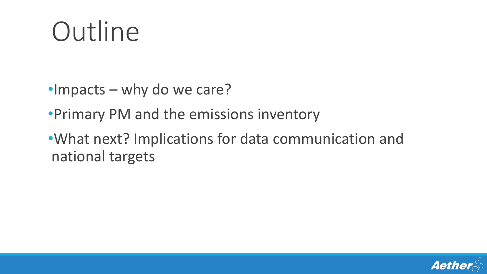# **Outline**

- •Impacts why do we care?
- •Primary PM and the emissions inventory
- •What next? Implications for data communication and national targets

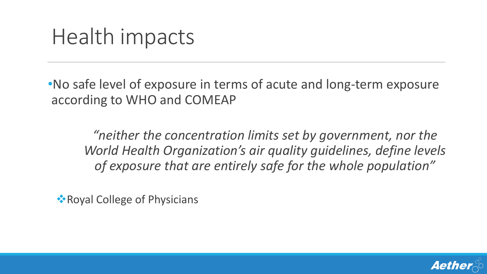### Health impacts

•No safe level of exposure in terms of acute and long-term exposure according to WHO and COMEAP

*"neither the concentration limits set by government, nor the World Health Organization's air quality guidelines, define levels of exposure that are entirely safe for the whole population"*

**• Royal College of Physicians** 

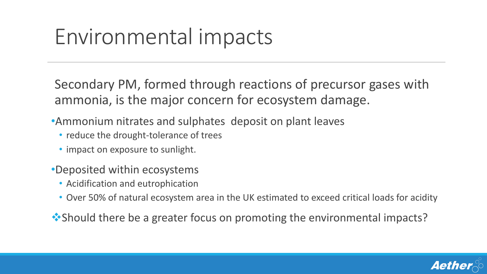# Environmental impacts

Secondary PM, formed through reactions of precursor gases with ammonia, is the major concern for ecosystem damage.

- •Ammonium nitrates and sulphates deposit on plant leaves
	- reduce the drought-tolerance of trees
	- impact on exposure to sunlight.
- •Deposited within ecosystems
	- Acidification and eutrophication
	- Over 50% of natural ecosystem area in the UK estimated to exceed critical loads for acidity

**• Should there be a greater focus on promoting the environmental impacts?** 

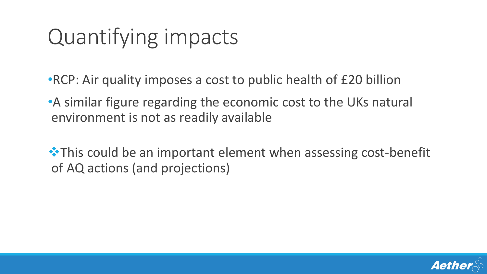# Quantifying impacts

- •RCP: Air quality imposes a cost to public health of £20 billion
- •A similar figure regarding the economic cost to the UKs natural environment is not as readily available
- $\cdot$  **This could be an important element when assessing cost-benefit** of AQ actions (and projections)

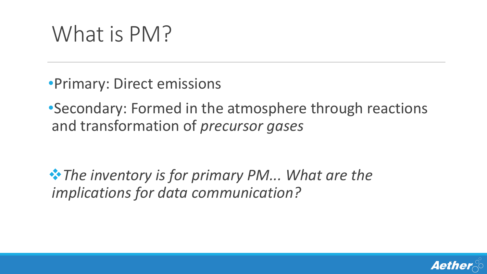# What is PM?

•Primary: Direct emissions

•Secondary: Formed in the atmosphere through reactions and transformation of *precursor gases*

*The inventory is for primary PM... What are the implications for data communication?*

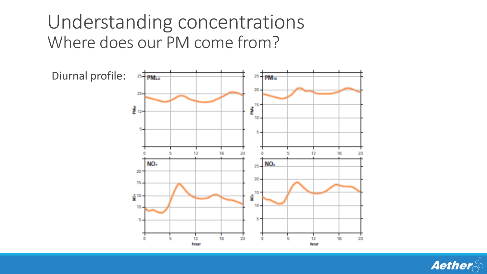#### Understanding concentrations Where does our PM come from?



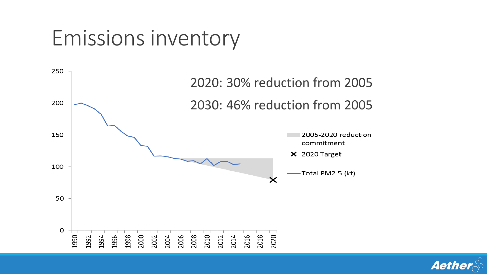### Emissions inventory



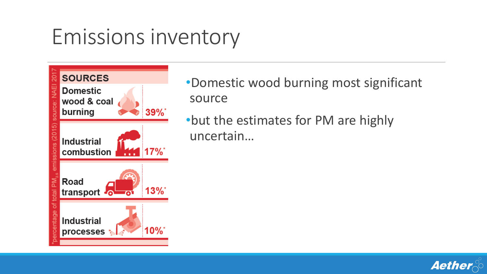### Emissions inventory



- •Domestic wood burning most significant source
- •but the estimates for PM are highly uncertain…

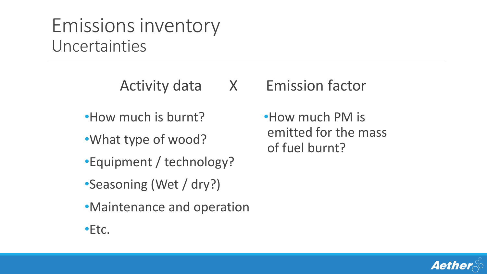#### Emissions inventory Uncertainties

Activity data X Emission factor

- •How much is burnt?
- •What type of wood?
- •Equipment / technology?
- •Seasoning (Wet / dry?)
- •Maintenance and operation

•Etc.

•How much PM is emitted for the mass of fuel burnt?

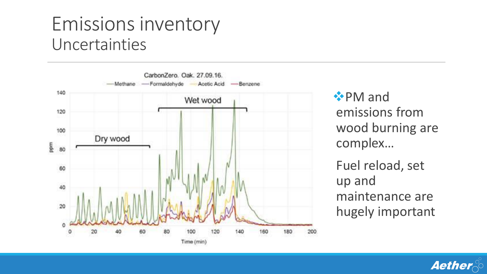#### Emissions inventory Uncertainties



 $^*$ **PM** and emissions from wood burning are complex… Fuel reload, set up and maintenance are hugely important

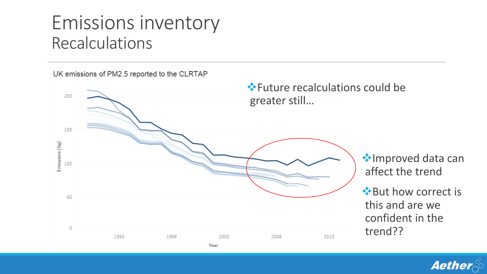#### Emissions inventory Recalculations



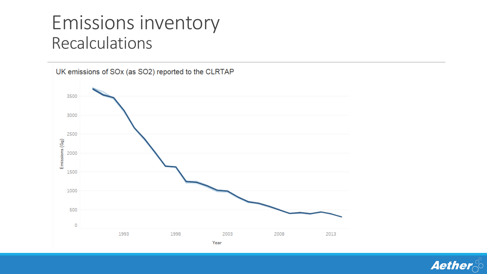#### Emissions inventory Recalculations



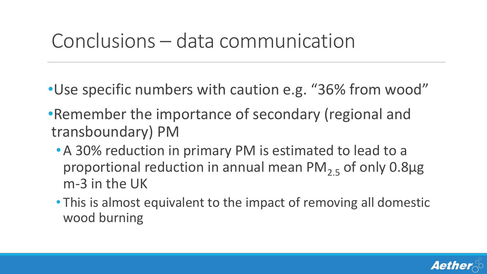#### Conclusions – data communication

- •Use specific numbers with caution e.g. "36% from wood"
- •Remember the importance of secondary (regional and transboundary) PM
	- •A 30% reduction in primary PM is estimated to lead to a proportional reduction in annual mean  $PM_{2.5}$  of only 0.8 $\mu$ g m-3 in the UK
	- This is almost equivalent to the impact of removing all domestic wood burning

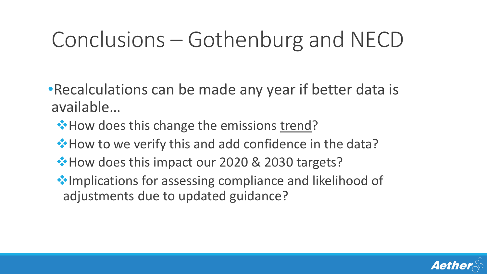# Conclusions – Gothenburg and NECD

•Recalculations can be made any year if better data is available…

- **\*** How does this change the emissions trend?
- **\*** How to we verify this and add confidence in the data?
- **\*How does this impact our 2020 & 2030 targets?**
- Implications for assessing compliance and likelihood of adjustments due to updated guidance?